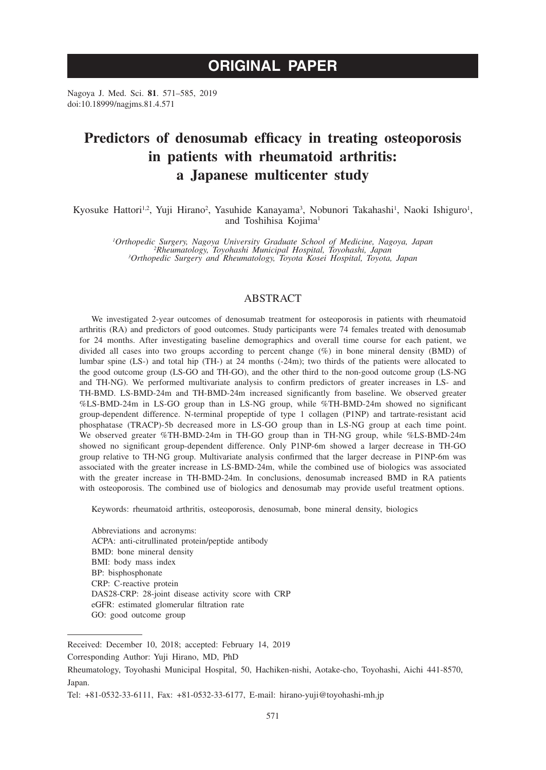# **ORIGINAL PAPER**

Nagoya J. Med. Sci. **81**. 571–585, 2019 doi:10.18999/nagjms.81.4.571

# **Predictors of denosumab efficacy in treating osteoporosis in patients with rheumatoid arthritis: a Japanese multicenter study**

Kyosuke Hattori<sup>1,2</sup>, Yuji Hirano<sup>2</sup>, Yasuhide Kanayama<sup>3</sup>, Nobunori Takahashi<sup>1</sup>, Naoki Ishiguro<sup>1</sup>, and Toshihisa Kojima<sup>1</sup>

*1 Orthopedic Surgery, Nagoya University Graduate School of Medicine, Nagoya, Japan <sup>2</sup> Rheumatology, Toyohashi Municipal Hospital, Toyohashi, Japan <sup>3</sup> Orthopedic Surgery and Rheumatology, Toyota Kosei Hospital, Toyota, Japan*

# ABSTRACT

We investigated 2-year outcomes of denosumab treatment for osteoporosis in patients with rheumatoid arthritis (RA) and predictors of good outcomes. Study participants were 74 females treated with denosumab for 24 months. After investigating baseline demographics and overall time course for each patient, we divided all cases into two groups according to percent change (%) in bone mineral density (BMD) of lumbar spine (LS-) and total hip (TH-) at 24 months (-24m); two thirds of the patients were allocated to the good outcome group (LS-GO and TH-GO), and the other third to the non-good outcome group (LS-NG and TH-NG). We performed multivariate analysis to confirm predictors of greater increases in LS- and TH-BMD. LS-BMD-24m and TH-BMD-24m increased significantly from baseline. We observed greater %LS-BMD-24m in LS-GO group than in LS-NG group, while %TH-BMD-24m showed no significant group-dependent difference. N-terminal propeptide of type 1 collagen (P1NP) and tartrate-resistant acid phosphatase (TRACP)-5b decreased more in LS-GO group than in LS-NG group at each time point. We observed greater %TH-BMD-24m in TH-GO group than in TH-NG group, while %LS-BMD-24m showed no significant group-dependent difference. Only P1NP-6m showed a larger decrease in TH-GO group relative to TH-NG group. Multivariate analysis confirmed that the larger decrease in P1NP-6m was associated with the greater increase in LS-BMD-24m, while the combined use of biologics was associated with the greater increase in TH-BMD-24m. In conclusions, denosumab increased BMD in RA patients with osteoporosis. The combined use of biologics and denosumab may provide useful treatment options.

Keywords: rheumatoid arthritis, osteoporosis, denosumab, bone mineral density, biologics

Abbreviations and acronyms: ACPA: anti-citrullinated protein/peptide antibody BMD: bone mineral density BMI: body mass index BP: bisphosphonate CRP: C-reactive protein DAS28-CRP: 28-joint disease activity score with CRP eGFR: estimated glomerular filtration rate GO: good outcome group

Received: December 10, 2018; accepted: February 14, 2019

Corresponding Author: Yuji Hirano, MD, PhD

Rheumatology, Toyohashi Municipal Hospital, 50, Hachiken-nishi, Aotake-cho, Toyohashi, Aichi 441-8570, Japan.

Tel: +81-0532-33-6111, Fax: +81-0532-33-6177, E-mail: hirano-yuji@toyohashi-mh.jp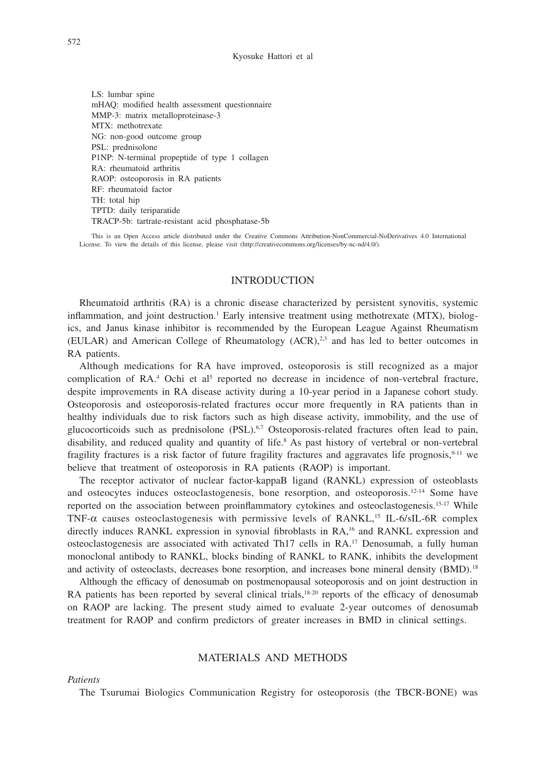LS: lumbar spine mHAQ: modified health assessment questionnaire MMP-3: matrix metalloproteinase-3 MTX: methotrexate NG: non-good outcome group PSL: prednisolone P1NP: N-terminal propeptide of type 1 collagen RA: rheumatoid arthritis RAOP: osteoporosis in RA patients RF: rheumatoid factor TH: total hip TPTD: daily teriparatide TRACP-5b: tartrate-resistant acid phosphatase-5b

This is an Open Access article distributed under the Creative Commons Attribution-NonCommercial-NoDerivatives 4.0 International License. To view the details of this license, please visit (http://creativecommons.org/licenses/by-nc-nd/4.0/).

## **INTRODUCTION**

Rheumatoid arthritis (RA) is a chronic disease characterized by persistent synovitis, systemic inflammation, and joint destruction.<sup>1</sup> Early intensive treatment using methotrexate (MTX), biologics, and Janus kinase inhibitor is recommended by the European League Against Rheumatism (EULAR) and American College of Rheumatology (ACR),2,3 and has led to better outcomes in RA patients.

Although medications for RA have improved, osteoporosis is still recognized as a major complication of RA.<sup>4</sup> Ochi et al<sup>5</sup> reported no decrease in incidence of non-vertebral fracture, despite improvements in RA disease activity during a 10-year period in a Japanese cohort study. Osteoporosis and osteoporosis-related fractures occur more frequently in RA patients than in healthy individuals due to risk factors such as high disease activity, immobility, and the use of glucocorticoids such as prednisolone (PSL).<sup>6,7</sup> Osteoporosis-related fractures often lead to pain, disability, and reduced quality and quantity of life.8 As past history of vertebral or non-vertebral fragility fractures is a risk factor of future fragility fractures and aggravates life prognosis,  $9-11$  we believe that treatment of osteoporosis in RA patients (RAOP) is important.

The receptor activator of nuclear factor-kappaB ligand (RANKL) expression of osteoblasts and osteocytes induces osteoclastogenesis, bone resorption, and osteoporosis.<sup>12-14</sup> Some have reported on the association between proinflammatory cytokines and osteoclastogenesis.<sup>15-17</sup> While TNF- $\alpha$  causes osteoclastogenesis with permissive levels of RANKL,<sup>15</sup> IL-6/sIL-6R complex directly induces RANKL expression in synovial fibroblasts in RA,<sup>16</sup> and RANKL expression and osteoclastogenesis are associated with activated Th17 cells in RA.17 Denosumab, a fully human monoclonal antibody to RANKL, blocks binding of RANKL to RANK, inhibits the development and activity of osteoclasts, decreases bone resorption, and increases bone mineral density (BMD).<sup>18</sup>

Although the efficacy of denosumab on postmenopausal soteoporosis and on joint destruction in RA patients has been reported by several clinical trials,<sup>18-20</sup> reports of the efficacy of denosumab on RAOP are lacking. The present study aimed to evaluate 2-year outcomes of denosumab treatment for RAOP and confirm predictors of greater increases in BMD in clinical settings.

# MATERIALS AND METHODS

*Patients*

The Tsurumai Biologics Communication Registry for osteoporosis (the TBCR-BONE) was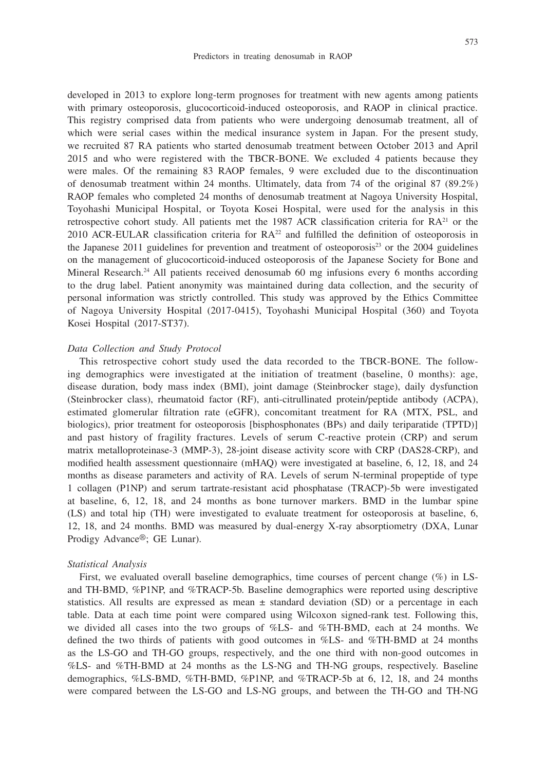developed in 2013 to explore long-term prognoses for treatment with new agents among patients with primary osteoporosis, glucocorticoid-induced osteoporosis, and RAOP in clinical practice. This registry comprised data from patients who were undergoing denosumab treatment, all of which were serial cases within the medical insurance system in Japan. For the present study, we recruited 87 RA patients who started denosumab treatment between October 2013 and April 2015 and who were registered with the TBCR-BONE. We excluded 4 patients because they were males. Of the remaining 83 RAOP females, 9 were excluded due to the discontinuation of denosumab treatment within 24 months. Ultimately, data from 74 of the original 87 (89.2%) RAOP females who completed 24 months of denosumab treatment at Nagoya University Hospital, Toyohashi Municipal Hospital, or Toyota Kosei Hospital, were used for the analysis in this retrospective cohort study. All patients met the 1987 ACR classification criteria for  $RA<sup>21</sup>$  or the 2010 ACR-EULAR classification criteria for  $RA^{22}$  and fulfilled the definition of osteoporosis in the Japanese 2011 guidelines for prevention and treatment of osteoporosis<sup>23</sup> or the 2004 guidelines on the management of glucocorticoid-induced osteoporosis of the Japanese Society for Bone and Mineral Research.<sup>24</sup> All patients received denosumab 60 mg infusions every 6 months according to the drug label. Patient anonymity was maintained during data collection, and the security of personal information was strictly controlled. This study was approved by the Ethics Committee of Nagoya University Hospital (2017-0415), Toyohashi Municipal Hospital (360) and Toyota Kosei Hospital (2017-ST37).

#### *Data Collection and Study Protocol*

This retrospective cohort study used the data recorded to the TBCR-BONE. The following demographics were investigated at the initiation of treatment (baseline, 0 months): age, disease duration, body mass index (BMI), joint damage (Steinbrocker stage), daily dysfunction (Steinbrocker class), rheumatoid factor (RF), anti-citrullinated protein/peptide antibody (ACPA), estimated glomerular filtration rate (eGFR), concomitant treatment for RA (MTX, PSL, and biologics), prior treatment for osteoporosis [bisphosphonates (BPs) and daily teriparatide (TPTD)] and past history of fragility fractures. Levels of serum C-reactive protein (CRP) and serum matrix metalloproteinase-3 (MMP-3), 28-joint disease activity score with CRP (DAS28-CRP), and modified health assessment questionnaire (mHAQ) were investigated at baseline, 6, 12, 18, and 24 months as disease parameters and activity of RA. Levels of serum N-terminal propeptide of type 1 collagen (P1NP) and serum tartrate-resistant acid phosphatase (TRACP)-5b were investigated at baseline, 6, 12, 18, and 24 months as bone turnover markers. BMD in the lumbar spine (LS) and total hip (TH) were investigated to evaluate treatment for osteoporosis at baseline, 6, 12, 18, and 24 months. BMD was measured by dual-energy X-ray absorptiometry (DXA, Lunar Prodigy Advance®; GE Lunar).

#### *Statistical Analysis*

First, we evaluated overall baseline demographics, time courses of percent change (%) in LSand TH-BMD, %P1NP, and %TRACP-5b. Baseline demographics were reported using descriptive statistics. All results are expressed as mean ± standard deviation (SD) or a percentage in each table. Data at each time point were compared using Wilcoxon signed-rank test. Following this, we divided all cases into the two groups of %LS- and %TH-BMD, each at 24 months. We defined the two thirds of patients with good outcomes in %LS- and %TH-BMD at 24 months as the LS-GO and TH-GO groups, respectively, and the one third with non-good outcomes in %LS- and %TH-BMD at 24 months as the LS-NG and TH-NG groups, respectively. Baseline demographics, %LS-BMD, %TH-BMD, %P1NP, and %TRACP-5b at 6, 12, 18, and 24 months were compared between the LS-GO and LS-NG groups, and between the TH-GO and TH-NG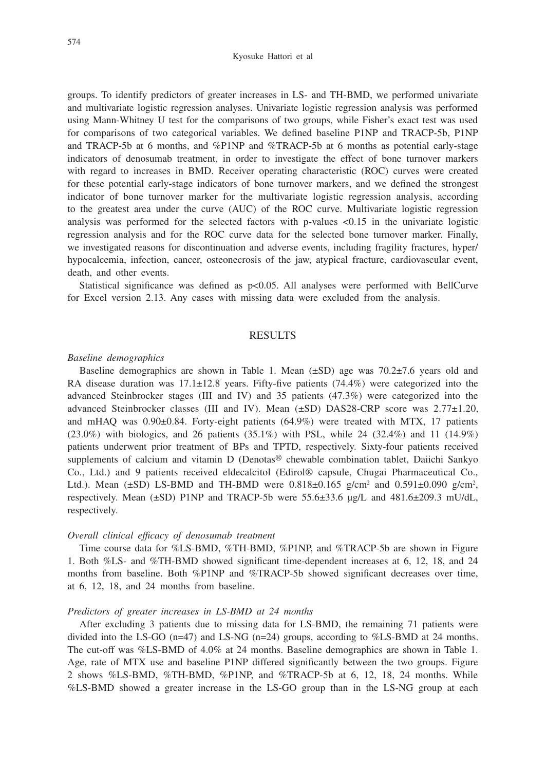Kyosuke Hattori et al

groups. To identify predictors of greater increases in LS- and TH-BMD, we performed univariate and multivariate logistic regression analyses. Univariate logistic regression analysis was performed using Mann-Whitney U test for the comparisons of two groups, while Fisher's exact test was used for comparisons of two categorical variables. We defined baseline P1NP and TRACP-5b, P1NP and TRACP-5b at 6 months, and %P1NP and %TRACP-5b at 6 months as potential early-stage indicators of denosumab treatment, in order to investigate the effect of bone turnover markers with regard to increases in BMD. Receiver operating characteristic (ROC) curves were created for these potential early-stage indicators of bone turnover markers, and we defined the strongest indicator of bone turnover marker for the multivariate logistic regression analysis, according to the greatest area under the curve (AUC) of the ROC curve. Multivariate logistic regression analysis was performed for the selected factors with p-values  $\langle 0.15 \rangle$  in the univariate logistic regression analysis and for the ROC curve data for the selected bone turnover marker. Finally, we investigated reasons for discontinuation and adverse events, including fragility fractures, hyper/ hypocalcemia, infection, cancer, osteonecrosis of the jaw, atypical fracture, cardiovascular event, death, and other events.

Statistical significance was defined as p<0.05. All analyses were performed with BellCurve for Excel version 2.13. Any cases with missing data were excluded from the analysis.

# **RESULTS**

# *Baseline demographics*

Baseline demographics are shown in Table 1. Mean  $(\pm SD)$  age was  $70.2\pm7.6$  years old and RA disease duration was  $17.1 \pm 12.8$  years. Fifty-five patients (74.4%) were categorized into the advanced Steinbrocker stages (III and IV) and 35 patients (47.3%) were categorized into the advanced Steinbrocker classes (III and IV). Mean (±SD) DAS28-CRP score was 2.77±1.20, and mHAQ was 0.90±0.84. Forty-eight patients (64.9%) were treated with MTX, 17 patients  $(23.0\%)$  with biologics, and 26 patients  $(35.1\%)$  with PSL, while 24  $(32.4\%)$  and 11  $(14.9\%)$ patients underwent prior treatment of BPs and TPTD, respectively. Sixty-four patients received supplements of calcium and vitamin D (Denotas® chewable combination tablet, Daiichi Sankyo Co., Ltd.) and 9 patients received eldecalcitol (Edirol® capsule, Chugai Pharmaceutical Co., Ltd.). Mean  $(\pm SD)$  LS-BMD and TH-BMD were  $0.818\pm0.165$  g/cm<sup>2</sup> and  $0.591\pm0.090$  g/cm<sup>2</sup>, respectively. Mean (±SD) P1NP and TRACP-5b were 55.6±33.6 µg/L and 481.6±209.3 mU/dL, respectively.

#### *Overall clinical efficacy of denosumab treatment*

Time course data for %LS-BMD, %TH-BMD, %P1NP, and %TRACP-5b are shown in Figure 1. Both %LS- and %TH-BMD showed significant time-dependent increases at 6, 12, 18, and 24 months from baseline. Both %P1NP and %TRACP-5b showed significant decreases over time, at 6, 12, 18, and 24 months from baseline.

#### *Predictors of greater increases in LS-BMD at 24 months*

After excluding 3 patients due to missing data for LS-BMD, the remaining 71 patients were divided into the LS-GO (n=47) and LS-NG (n=24) groups, according to %LS-BMD at 24 months. The cut-off was %LS-BMD of 4.0% at 24 months. Baseline demographics are shown in Table 1. Age, rate of MTX use and baseline P1NP differed significantly between the two groups. Figure 2 shows %LS-BMD, %TH-BMD, %P1NP, and %TRACP-5b at 6, 12, 18, 24 months. While %LS-BMD showed a greater increase in the LS-GO group than in the LS-NG group at each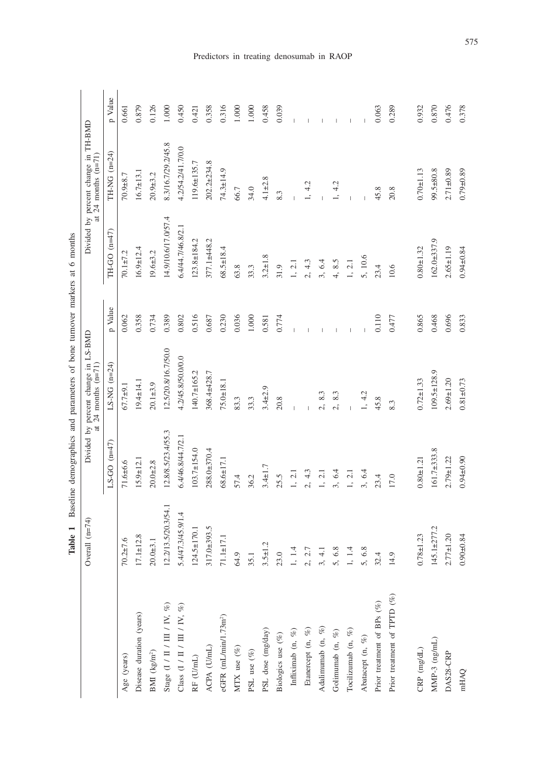|                                   | Overall (n=74)                  |                    | Divided by percent change in LS-BMD<br>at 24 months $(n=71)$ |         |                     | Divided by percent change in TH-BMD<br>at $24$ months $(n=71)$ |         |
|-----------------------------------|---------------------------------|--------------------|--------------------------------------------------------------|---------|---------------------|----------------------------------------------------------------|---------|
|                                   |                                 | $LS-GO(n=47)$      | $LS-NG$ (n=24)                                               | p Value | TH-GO $(n=47)$      | $TH-NG$ (n=24)                                                 | p Value |
| Age (years)                       | $70.2 \pm 7.6$                  | $71.6 + 6.6$       | $67.7 + 9.1$                                                 | 0.062   | $70.1 + 7.2$        | $70.9 + 8.7$                                                   | 0.661   |
| Disease duration (years)          | $17.1 \pm 12.8$                 | $15.9 \pm 12.1$    | $19.4 \pm 14.1$                                              | 0.358   | $16.9 \pm 12.4$     | $16.7 \pm 13.1$                                                | 0.879   |
| BMI $(kg/m^2)$                    | $20.0 + 3.1$                    | $20.0 + 2.8$       | $20.1 + 3.9$                                                 | 0.734   | $19.6 + 3.2$        | $20.9 + 3.2$                                                   | 0.126   |
| Stage (I / II / III / IV, $\%$ )  | 12.2/13.5/20.3/54.1             | 12.8/8.5/23.4/55.3 | 12.5/20.8/16.7/50.0                                          | 0.389   | 14.9/10.6/17.0/57.4 | 8.3/16.7/29.2/45.8                                             | 1.000   |
| Class (I / II / III / IV, $\%$    | 5.4/47.3/45.9/1.4               | 6.4/46.8/44.7/2.1  | 4.2/45.8/50.0/0.0                                            | 0.802   | 6.4/44.7/46.8/2.1   | 4.2/54.2/41.7/0.0                                              | 0.450   |
| $\mathbb{RF}$ (U/mL)              | $124.5 \pm 170.1$               | 103.7±154.0        | 140.7±165.2                                                  | 0.516   | $123.8 \pm 184.2$   | $119.6 \pm 135.7$                                              | 0.421   |
| ACPA (U/mL)                       | 317.0±393.5                     | 288.0±370.4        | 368.4±428.7                                                  | 0.687   | 377.1±448.2         | $202.2 \pm 234.8$                                              | 0.358   |
| eGFR (mL/min/1.73m <sup>2</sup> ) | $71.1 \pm 17.1$                 | $68.6 \pm 17.1$    | $75.0 \pm 18.1$                                              | 0.230   | $68.5 \pm 18.4$     | $74.3 \pm 14.9$                                                | 0.316   |
| MTX use $(\%)$                    | 64.9                            | 57.4               | 83.3                                                         | 0.036   | 63.8                | 66.7                                                           | 1.000   |
| PSL use $(\%)$                    | 35.1                            | 36.2               | 33.3                                                         | $1.000$ | 33.3                | 34.0                                                           | 1.000   |
| PSL dose (mg/day)                 | $3.5 \pm 1.2$                   | $3.4 \pm 1.7$      | $3.4 + 2.9$                                                  | 0.581   | $3.2 \pm 1.8$       | $4.1 + 2.8$                                                    | 0.458   |
| Biologics use $(\%)$              | 23.0                            | 25.5               | 20.8                                                         | 0.774   | 31.9                | 8.3                                                            | 0.039   |
| Infliximab (n, $%$ )              | 1.4                             | 1, 2.1             |                                                              |         | 1, 2.1              |                                                                |         |
| Etanercept (n, $\%$ )             | 2.7<br>$\mathcal{L}_1$          | 2, 4.3             |                                                              |         | 2, 4.3              | 1, 4.2                                                         |         |
| Adalimumab (n, %)                 | $\frac{1}{4}$<br>$\mathfrak{S}$ | 1, 2.1             | 8.3<br>Δ,                                                    |         | 3, 6.4              |                                                                |         |
| Golimumab (n, %)                  | 6.8<br>5,                       | 3, 6.4             | 8.3<br>Δ,                                                    |         | 4, 8.5              | 1, 4.2                                                         |         |
| Tocilizumab (n, $\%$              | 1.4                             | $1, 2.1$           |                                                              |         | $1, 2.1$            |                                                                |         |
| Abatacept (n, %)                  | 6.8<br>5,                       | 3, 6.4             | 1, 4.2                                                       |         | 5, 10.6             |                                                                |         |
| Prior treatment of BPs $(\%)$     | 4<br>32                         | 23.4               | 45.8                                                         | 0.110   | 23.4                | 45.8                                                           | 0.063   |
| Prior treatment of TPTD (%)       | $\circ$<br>Ξ                    | 17.0               | 8.3                                                          | 0.477   | 10.6                | 20.8                                                           | 0.289   |
|                                   |                                 |                    |                                                              |         |                     |                                                                |         |
| $\mathrm{CRP}\ (\mathrm{mg/dL})$  | $0.78 + 1.23$                   | $0.80 + 1.2$       | $0.72 \pm 1.33$                                              | 0.865   | $0.80 + 1.32$       | $0.70 + 1.13$                                                  | 0.932   |
| $MMP-3$ (ng/mL)                   | $145.1 + 277.2$                 | $161.7\pm 333.8$   | $109.5 \pm 128.9$                                            | 0.468   | $162.0 + 337.9$     | 99.5±80.8                                                      | 0.870   |
| DAS28-CRP                         | $2.77 + 1.20$                   | $2.79 + 1.22$      | $2.69 + 1.20$                                                | 0.696   | $2.65 \pm 1.19$     | $2.71 \pm 0.89$                                                | 0.476   |
| mHAQ                              | $0.90 \pm 0.84$                 | $0.94 + 0.90$      | $0.81 + 0.73$                                                | 0.833   | $0.94 \pm 0.84$     | $0.79 + 0.89$                                                  | 0.378   |

Table 1 Baseline demographics and parameters of bone turnover markers at 6 months **Table 1** Baseline demographics and parameters of bone turnover markers at 6 months

Predictors in treating denosumab in RAOP

575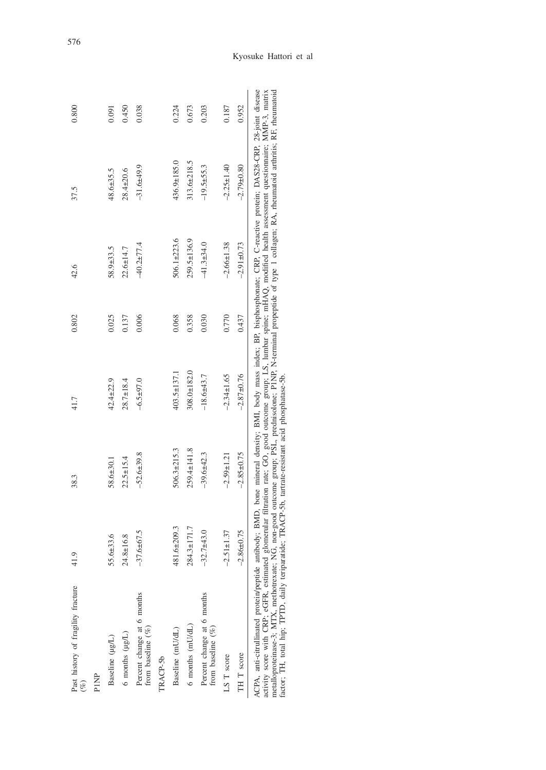| Past history of fragility fracture<br>$(\%)$      | $\overline{1.9}$ | 38.3             | 41.7             | 0.802 | 42.6             | 37.5                                                                                                                                | 0.800 |
|---------------------------------------------------|------------------|------------------|------------------|-------|------------------|-------------------------------------------------------------------------------------------------------------------------------------|-------|
| PINP                                              |                  |                  |                  |       |                  |                                                                                                                                     |       |
| Baseline (µg/L)                                   | $5.6 + 33.6$     | 58.6±30.1        | $42.4 + 22.9$    | 0.025 | 58.9±33.5        | 48.6±35.5                                                                                                                           | 0.091 |
| $6$ months $(\mu g/L)$                            | 24.8±16.8        | $22.5 \pm 15.4$  | $28.7 \pm 18.4$  | 0.137 | $22.6 + 14.7$    | $28.4 + 20.6$                                                                                                                       | 0.450 |
| Percent change at 6 months<br>from baseline $(%)$ | $-37.6 + 67.5$   | $-52.6 + 39.8$   | $-6.5 + 97.0$    | 0.006 | $-40.2 + 77.4$   | $-31.6 + 49.9$                                                                                                                      | 0.038 |
| TRACP-5b                                          |                  |                  |                  |       |                  |                                                                                                                                     |       |
| Baseline (mU/dL)                                  | 81.6±209.3       | 506.3±215.3      | 403.5±137.1      | 0.068 | $506.1 + 223.6$  | 436.9±185.0                                                                                                                         | 0.224 |
| $6$ months $(mU/dL)$                              | 284.3±171.7      | 259.4±141.8      | 308.0±182.0      | 0.358 | 259.5±136.9      | 313.6±218.5                                                                                                                         | 0.673 |
| Percent change at 6 months<br>from baseline (%)   | $-32.7 + 43.0$   | $-39.6 + 42.3$   | $-18.6 + 43.7$   | 0.030 | $-41.3 + 34.0$   | $-19.5 + 55.3$                                                                                                                      | 0.203 |
| LS T score                                        | $-2.51 \pm 1.37$ | $-2.59 \pm 1.21$ | $-2.34 \pm 1.65$ | 0.770 | $-2.66 \pm 1.38$ | $-2.25 \pm 1.40$                                                                                                                    | 0.187 |
| TH T score                                        | $-2.86 \pm 0.75$ | $-2.85 \pm 0.75$ | $-2.87 + 0.76$   | 0.437 | $-2.91 \pm 0.73$ | $-2.79 \pm 0.80$                                                                                                                    | 0.952 |
| ACPA, anti-citrullinated protein/peptide a        |                  |                  |                  |       |                  | antibody; BMD, bone mineral density; BMI, body mass index; BP, bisphosphonate; CRP, C-reactive protein; DAS28-CRP, 28-joint disease |       |

activity score with CRP; eGFR, estimated glomerular filtration rate; GO, good outcome group; LS, lumbar spine; mHAQ, modified health assessment questionnaire; MMP-3, matrix<br>metalloproteinase-3; MTX, methotrexate; NG, non-g activity score with CRP; eGFR, estimated glomerular filtration rate; GO, good outcome group; LS, lumbar spine; mHAQ, modified health assessment questionnaire; MMP-3, matrix metalloproteinase-3; MTX, methotrexate; NG, non-good outcome group; PSL, prednisolone; P1NP, N-terminal propeptide of type 1 collagen; RA, rheumatoid arthritis; RF, rheumatoid factor; TH, total hip; TPTD, daily teriparatide; TRACP-5b, tartrate-resistant acid phosphatase-5b.

# Kyosuke Hattori et al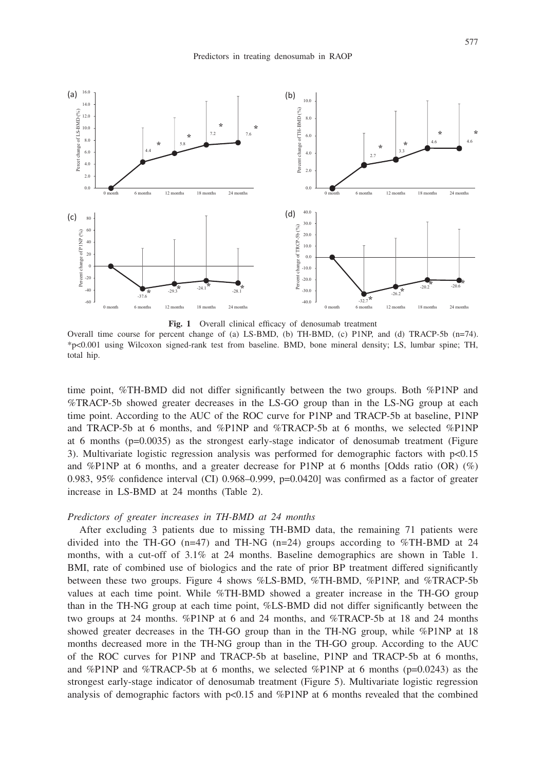

**Fig. 1** Overall clinical efficacy of denosumab treatment

Overall time course for percent change of (a) LS-BMD, (b) TH-BMD, (c) P1NP, and (d) TRACP-5b (n=74). \*p<0.001 using Wilcoxon signed-rank test from baseline. BMD, bone mineral density; LS, lumbar spine; TH, total hip.

time point, %TH-BMD did not differ significantly between the two groups. Both %P1NP and %TRACP-5b showed greater decreases in the LS-GO group than in the LS-NG group at each time point. According to the AUC of the ROC curve for P1NP and TRACP-5b at baseline, P1NP and TRACP-5b at 6 months, and %P1NP and %TRACP-5b at 6 months, we selected %P1NP at 6 months (p=0.0035) as the strongest early-stage indicator of denosumab treatment (Figure 3). Multivariate logistic regression analysis was performed for demographic factors with  $p<0.15$ and %P1NP at 6 months, and a greater decrease for P1NP at 6 months [Odds ratio  $(OR)$   $(\%)$ 0.983, 95% confidence interval (CI) 0.968–0.999,  $p=0.0420$ ] was confirmed as a factor of greater increase in LS-BMD at 24 months (Table 2).

#### *Predictors of greater increases in TH-BMD at 24 months*

After excluding 3 patients due to missing TH-BMD data, the remaining 71 patients were divided into the TH-GO (n=47) and TH-NG (n=24) groups according to %TH-BMD at 24 months, with a cut-off of 3.1% at 24 months. Baseline demographics are shown in Table 1. BMI, rate of combined use of biologics and the rate of prior BP treatment differed significantly between these two groups. Figure 4 shows %LS-BMD, %TH-BMD, %P1NP, and %TRACP-5b values at each time point. While %TH-BMD showed a greater increase in the TH-GO group than in the TH-NG group at each time point, %LS-BMD did not differ significantly between the two groups at 24 months. %P1NP at 6 and 24 months, and %TRACP-5b at 18 and 24 months showed greater decreases in the TH-GO group than in the TH-NG group, while %P1NP at 18 months decreased more in the TH-NG group than in the TH-GO group. According to the AUC of the ROC curves for P1NP and TRACP-5b at baseline, P1NP and TRACP-5b at 6 months, and %P1NP and %TRACP-5b at 6 months, we selected %P1NP at 6 months ( $p=0.0243$ ) as the strongest early-stage indicator of denosumab treatment (Figure 5). Multivariate logistic regression analysis of demographic factors with  $p<0.15$  and %P1NP at 6 months revealed that the combined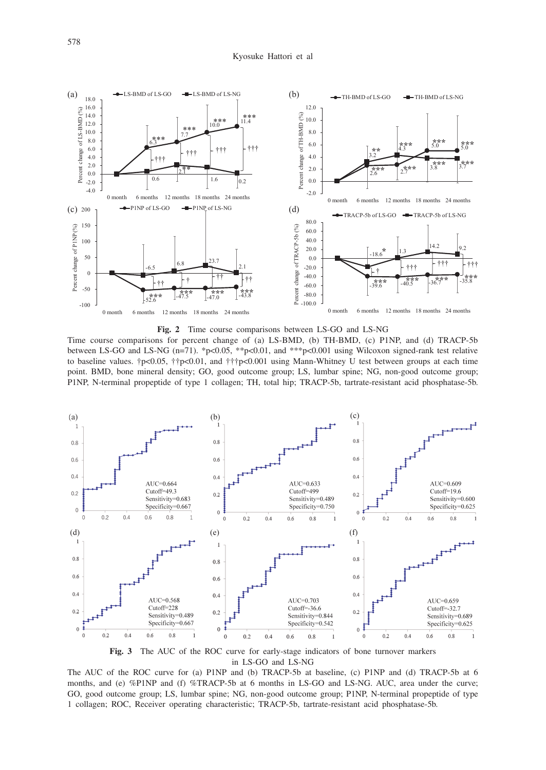

**Fig. 2** Time course comparisons between LS-GO and LS-NG

Time course comparisons for percent change of (a) LS-BMD, (b) TH-BMD, (c) P1NP, and (d) TRACP-5b between LS-GO and LS-NG (n=71). \*p<0.05, \*\*p<0.01, and \*\*\*p<0.001 using Wilcoxon signed-rank test relative to baseline values.  $\uparrow p < 0.05$ ,  $\uparrow \uparrow p < 0.01$ , and  $\uparrow \uparrow \uparrow p < 0.001$  using Mann-Whitney U test between groups at each time point. BMD, bone mineral density; GO, good outcome group; LS, lumbar spine; NG, non-good outcome group; P1NP, N-terminal propeptide of type 1 collagen; TH, total hip; TRACP-5b, tartrate-resistant acid phosphatase-5b.



**Fig. 3** The AUC of the ROC curve for early-stage indicators of bone turnover markers in LS-GO and LS-NG

The AUC of the ROC curve for (a) P1NP and (b) TRACP-5b at baseline, (c) P1NP and (d) TRACP-5b at 6 months, and (e) %P1NP and (f) %TRACP-5b at 6 months in LS-GO and LS-NG. AUC, area under the curve; GO, good outcome group; LS, lumbar spine; NG, non-good outcome group; P1NP, N-terminal propeptide of type 1 collagen; ROC, Receiver operating characteristic; TRACP-5b, tartrate-resistant acid phosphatase-5b.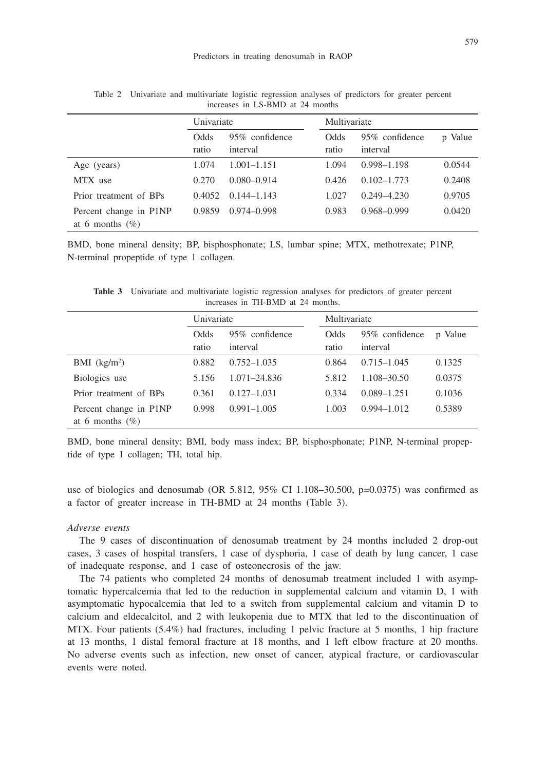|                                              | Univariate    |                            | Multivariate  |                            |         |
|----------------------------------------------|---------------|----------------------------|---------------|----------------------------|---------|
|                                              | Odds<br>ratio | 95% confidence<br>interval | Odds<br>ratio | 95% confidence<br>interval | p Value |
| Age (years)                                  | 1.074         | $1.001 - 1.151$            | 1.094         | $0.998 - 1.198$            | 0.0544  |
| MTX use                                      | 0.270         | $0.080 - 0.914$            | 0.426         | $0.102 - 1.773$            | 0.2408  |
| Prior treatment of BPs                       | 0.4052        | $0.144 - 1.143$            | 1.027         | $0.249 - 4.230$            | 0.9705  |
| Percent change in P1NP<br>at 6 months $(\%)$ | 0.9859        | $0.974 - 0.998$            | 0.983         | $0.968 - 0.999$            | 0.0420  |

Table 2 Univariate and multivariate logistic regression analyses of predictors for greater percent increases in LS-BMD at 24 months

BMD, bone mineral density; BP, bisphosphonate; LS, lumbar spine; MTX, methotrexate; P1NP, N-terminal propeptide of type 1 collagen.

**Table 3** Univariate and multivariate logistic regression analyses for predictors of greater percent increases in TH-BMD at 24 months.

|                                              | Univariate    |                            | Multivariate  |                            |         |
|----------------------------------------------|---------------|----------------------------|---------------|----------------------------|---------|
|                                              | Odds<br>ratio | 95% confidence<br>interval | Odds<br>ratio | 95% confidence<br>interval | p Value |
| BMI $(kg/m2)$                                | 0.882         | $0.752 - 1.035$            | 0.864         | $0.715 - 1.045$            | 0.1325  |
| Biologics use                                | 5.156         | $1.071 - 24.836$           | 5.812         | 1.108-30.50                | 0.0375  |
| Prior treatment of BPs                       | 0.361         | $0.127 - 1.031$            | 0.334         | $0.089 - 1.251$            | 0.1036  |
| Percent change in P1NP<br>at 6 months $(\%)$ | 0.998         | $0.991 - 1.005$            | 1.003         | $0.994 - 1.012$            | 0.5389  |

BMD, bone mineral density; BMI, body mass index; BP, bisphosphonate; P1NP, N-terminal propeptide of type 1 collagen; TH, total hip.

use of biologics and denosumab (OR  $5.812$ ,  $95\%$  CI 1.108–30.500, p=0.0375) was confirmed as a factor of greater increase in TH-BMD at 24 months (Table 3).

## *Adverse events*

The 9 cases of discontinuation of denosumab treatment by 24 months included 2 drop-out cases, 3 cases of hospital transfers, 1 case of dysphoria, 1 case of death by lung cancer, 1 case of inadequate response, and 1 case of osteonecrosis of the jaw.

The 74 patients who completed 24 months of denosumab treatment included 1 with asymptomatic hypercalcemia that led to the reduction in supplemental calcium and vitamin D, 1 with asymptomatic hypocalcemia that led to a switch from supplemental calcium and vitamin D to calcium and eldecalcitol, and 2 with leukopenia due to MTX that led to the discontinuation of MTX. Four patients (5.4%) had fractures, including 1 pelvic fracture at 5 months, 1 hip fracture at 13 months, 1 distal femoral fracture at 18 months, and 1 left elbow fracture at 20 months. No adverse events such as infection, new onset of cancer, atypical fracture, or cardiovascular events were noted.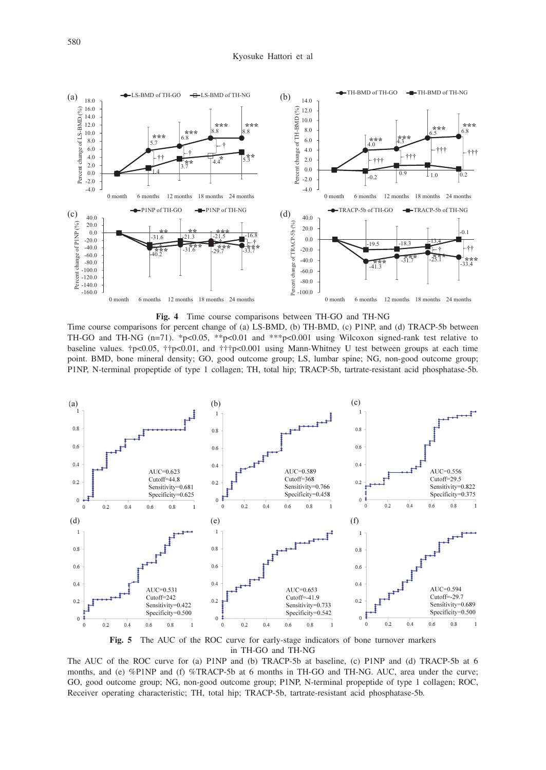

**Fig. 4** Time course comparisons between TH-GO and TH-NG

Time course comparisons for percent change of (a) LS-BMD, (b) TH-BMD, (c) P1NP, and (d) TRACP-5b between TH-GO and TH-NG (n=71). \*p<0.05, \*\*p<0.01 and \*\*\*p<0.001 using Wilcoxon signed-rank test relative to baseline values. †p<0.05, ††p<0.01, and †††p<0.001 using Mann-Whitney U test between groups at each time point. BMD, bone mineral density; GO, good outcome group; LS, lumbar spine; NG, non-good outcome group; P1NP, N-terminal propeptide of type 1 collagen; TH, total hip; TRACP-5b, tartrate-resistant acid phosphatase-5b.





The AUC of the ROC curve for (a) P1NP and (b) TRACP-5b at baseline, (c) P1NP and (d) TRACP-5b at 6 months, and (e) %P1NP and (f) %TRACP-5b at 6 months in TH-GO and TH-NG. AUC, area under the curve; GO, good outcome group; NG, non-good outcome group; P1NP, N-terminal propeptide of type 1 collagen; ROC, Receiver operating characteristic; TH, total hip; TRACP-5b, tartrate-resistant acid phosphatase-5b.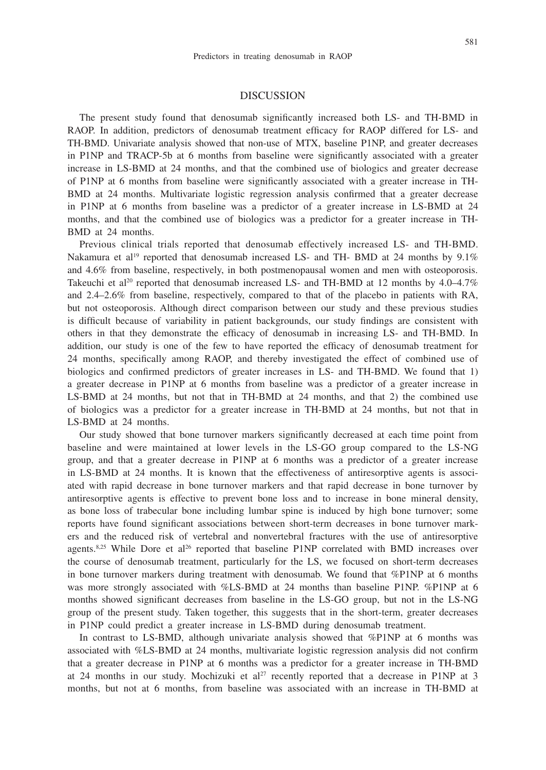# 581

# DISCUSSION

The present study found that denosumab significantly increased both LS- and TH-BMD in RAOP. In addition, predictors of denosumab treatment efficacy for RAOP differed for LS- and TH-BMD. Univariate analysis showed that non-use of MTX, baseline P1NP, and greater decreases in P1NP and TRACP-5b at 6 months from baseline were significantly associated with a greater increase in LS-BMD at 24 months, and that the combined use of biologics and greater decrease of P1NP at 6 months from baseline were significantly associated with a greater increase in TH-BMD at 24 months. Multivariate logistic regression analysis confirmed that a greater decrease in P1NP at 6 months from baseline was a predictor of a greater increase in LS-BMD at 24 months, and that the combined use of biologics was a predictor for a greater increase in TH-BMD at 24 months.

Previous clinical trials reported that denosumab effectively increased LS- and TH-BMD. Nakamura et al<sup>19</sup> reported that denosumab increased LS- and TH- BMD at 24 months by  $9.1\%$ and 4.6% from baseline, respectively, in both postmenopausal women and men with osteoporosis. Takeuchi et al<sup>20</sup> reported that denosumab increased LS- and TH-BMD at 12 months by  $4.0-4.7\%$ and 2.4–2.6% from baseline, respectively, compared to that of the placebo in patients with RA, but not osteoporosis. Although direct comparison between our study and these previous studies is difficult because of variability in patient backgrounds, our study findings are consistent with others in that they demonstrate the efficacy of denosumab in increasing LS- and TH-BMD. In addition, our study is one of the few to have reported the efficacy of denosumab treatment for 24 months, specifically among RAOP, and thereby investigated the effect of combined use of biologics and confirmed predictors of greater increases in LS- and TH-BMD. We found that 1) a greater decrease in P1NP at 6 months from baseline was a predictor of a greater increase in LS-BMD at 24 months, but not that in TH-BMD at 24 months, and that 2) the combined use of biologics was a predictor for a greater increase in TH-BMD at 24 months, but not that in LS-BMD at 24 months.

Our study showed that bone turnover markers significantly decreased at each time point from baseline and were maintained at lower levels in the LS-GO group compared to the LS-NG group, and that a greater decrease in P1NP at 6 months was a predictor of a greater increase in LS-BMD at 24 months. It is known that the effectiveness of antiresorptive agents is associated with rapid decrease in bone turnover markers and that rapid decrease in bone turnover by antiresorptive agents is effective to prevent bone loss and to increase in bone mineral density, as bone loss of trabecular bone including lumbar spine is induced by high bone turnover; some reports have found significant associations between short-term decreases in bone turnover markers and the reduced risk of vertebral and nonvertebral fractures with the use of antiresorptive agents.<sup>8,25</sup> While Dore et al<sup>26</sup> reported that baseline P1NP correlated with BMD increases over the course of denosumab treatment, particularly for the LS, we focused on short-term decreases in bone turnover markers during treatment with denosumab. We found that %P1NP at 6 months was more strongly associated with %LS-BMD at 24 months than baseline P1NP. %P1NP at 6 months showed significant decreases from baseline in the LS-GO group, but not in the LS-NG group of the present study. Taken together, this suggests that in the short-term, greater decreases in P1NP could predict a greater increase in LS-BMD during denosumab treatment.

In contrast to LS-BMD, although univariate analysis showed that %P1NP at 6 months was associated with %LS-BMD at 24 months, multivariate logistic regression analysis did not confirm that a greater decrease in P1NP at 6 months was a predictor for a greater increase in TH-BMD at 24 months in our study. Mochizuki et  $al^{27}$  recently reported that a decrease in P1NP at 3 months, but not at 6 months, from baseline was associated with an increase in TH-BMD at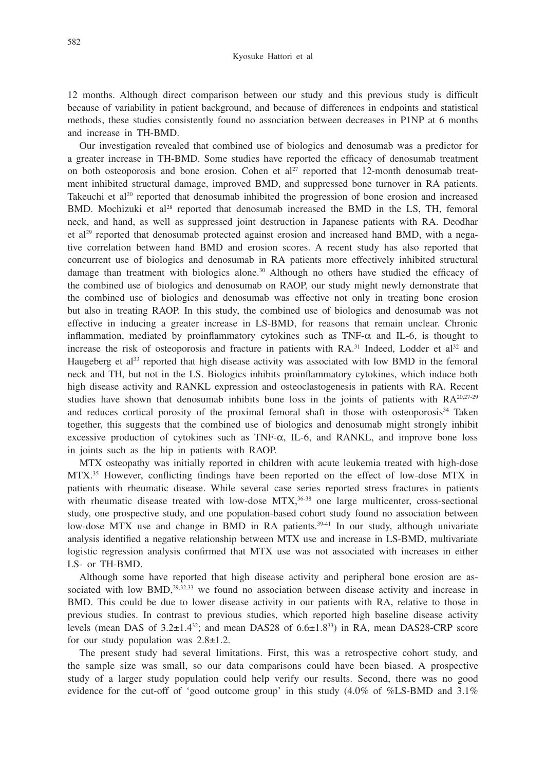12 months. Although direct comparison between our study and this previous study is difficult because of variability in patient background, and because of differences in endpoints and statistical methods, these studies consistently found no association between decreases in P1NP at 6 months and increase in TH-BMD.

Our investigation revealed that combined use of biologics and denosumab was a predictor for a greater increase in TH-BMD. Some studies have reported the efficacy of denosumab treatment on both osteoporosis and bone erosion. Cohen et al<sup>27</sup> reported that 12-month denosumab treatment inhibited structural damage, improved BMD, and suppressed bone turnover in RA patients. Takeuchi et al<sup>20</sup> reported that denosumab inhibited the progression of bone erosion and increased BMD. Mochizuki et al<sup>28</sup> reported that denosumab increased the BMD in the LS, TH, femoral neck, and hand, as well as suppressed joint destruction in Japanese patients with RA. Deodhar et al<sup>29</sup> reported that denosumab protected against erosion and increased hand BMD, with a negative correlation between hand BMD and erosion scores. A recent study has also reported that concurrent use of biologics and denosumab in RA patients more effectively inhibited structural damage than treatment with biologics alone.<sup>30</sup> Although no others have studied the efficacy of the combined use of biologics and denosumab on RAOP, our study might newly demonstrate that the combined use of biologics and denosumab was effective not only in treating bone erosion but also in treating RAOP. In this study, the combined use of biologics and denosumab was not effective in inducing a greater increase in LS-BMD, for reasons that remain unclear. Chronic inflammation, mediated by proinflammatory cytokines such as  $TNF-\alpha$  and IL-6, is thought to increase the risk of osteoporosis and fracture in patients with  $RA.^{31}$  Indeed, Lodder et al<sup>32</sup> and Haugeberg et al<sup>33</sup> reported that high disease activity was associated with low BMD in the femoral neck and TH, but not in the LS. Biologics inhibits proinflammatory cytokines, which induce both high disease activity and RANKL expression and osteoclastogenesis in patients with RA. Recent studies have shown that denosumab inhibits bone loss in the joints of patients with  $RA^{20,27-29}$ and reduces cortical porosity of the proximal femoral shaft in those with osteoporosis<sup>34</sup> Taken together, this suggests that the combined use of biologics and denosumab might strongly inhibit excessive production of cytokines such as TNF-α, IL-6, and RANKL, and improve bone loss in joints such as the hip in patients with RAOP.

MTX osteopathy was initially reported in children with acute leukemia treated with high-dose MTX.35 However, conflicting findings have been reported on the effect of low-dose MTX in patients with rheumatic disease. While several case series reported stress fractures in patients with rheumatic disease treated with low-dose MTX,<sup>36-38</sup> one large multicenter, cross-sectional study, one prospective study, and one population-based cohort study found no association between low-dose MTX use and change in BMD in RA patients. $39-41$  In our study, although univariate analysis identified a negative relationship between MTX use and increase in LS-BMD, multivariate logistic regression analysis confirmed that MTX use was not associated with increases in either LS- or TH-BMD.

Although some have reported that high disease activity and peripheral bone erosion are associated with low BMD,<sup>29,32,33</sup> we found no association between disease activity and increase in BMD. This could be due to lower disease activity in our patients with RA, relative to those in previous studies. In contrast to previous studies, which reported high baseline disease activity levels (mean DAS of  $3.2\pm1.4^{32}$ ; and mean DAS28 of  $6.6\pm1.8^{33}$ ) in RA, mean DAS28-CRP score for our study population was  $2.8 \pm 1.2$ .

The present study had several limitations. First, this was a retrospective cohort study, and the sample size was small, so our data comparisons could have been biased. A prospective study of a larger study population could help verify our results. Second, there was no good evidence for the cut-off of 'good outcome group' in this study (4.0% of %LS-BMD and 3.1%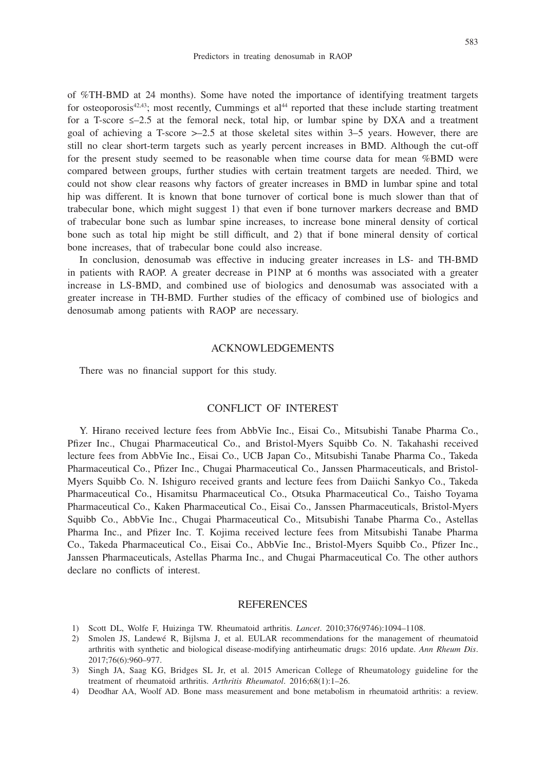of %TH-BMD at 24 months). Some have noted the importance of identifying treatment targets for osteoporosis<sup>42,43</sup>; most recently, Cummings et al<sup>44</sup> reported that these include starting treatment for a T-score  $\leq -2.5$  at the femoral neck, total hip, or lumbar spine by DXA and a treatment goal of achieving a T-score  $\geq$  2.5 at those skeletal sites within 3–5 years. However, there are still no clear short-term targets such as yearly percent increases in BMD. Although the cut-off for the present study seemed to be reasonable when time course data for mean %BMD were compared between groups, further studies with certain treatment targets are needed. Third, we could not show clear reasons why factors of greater increases in BMD in lumbar spine and total hip was different. It is known that bone turnover of cortical bone is much slower than that of trabecular bone, which might suggest 1) that even if bone turnover markers decrease and BMD of trabecular bone such as lumbar spine increases, to increase bone mineral density of cortical bone such as total hip might be still difficult, and 2) that if bone mineral density of cortical bone increases, that of trabecular bone could also increase.

In conclusion, denosumab was effective in inducing greater increases in LS- and TH-BMD in patients with RAOP. A greater decrease in P1NP at 6 months was associated with a greater increase in LS-BMD, and combined use of biologics and denosumab was associated with a greater increase in TH-BMD. Further studies of the efficacy of combined use of biologics and denosumab among patients with RAOP are necessary.

#### ACKNOWLEDGEMENTS

There was no financial support for this study.

## CONFLICT OF INTEREST

Y. Hirano received lecture fees from AbbVie Inc., Eisai Co., Mitsubishi Tanabe Pharma Co., Pfizer Inc., Chugai Pharmaceutical Co., and Bristol-Myers Squibb Co. N. Takahashi received lecture fees from AbbVie Inc., Eisai Co., UCB Japan Co., Mitsubishi Tanabe Pharma Co., Takeda Pharmaceutical Co., Pfizer Inc., Chugai Pharmaceutical Co., Janssen Pharmaceuticals, and Bristol-Myers Squibb Co. N. Ishiguro received grants and lecture fees from Daiichi Sankyo Co., Takeda Pharmaceutical Co., Hisamitsu Pharmaceutical Co., Otsuka Pharmaceutical Co., Taisho Toyama Pharmaceutical Co., Kaken Pharmaceutical Co., Eisai Co., Janssen Pharmaceuticals, Bristol-Myers Squibb Co., AbbVie Inc., Chugai Pharmaceutical Co., Mitsubishi Tanabe Pharma Co., Astellas Pharma Inc., and Pfizer Inc. T. Kojima received lecture fees from Mitsubishi Tanabe Pharma Co., Takeda Pharmaceutical Co., Eisai Co., AbbVie Inc., Bristol-Myers Squibb Co., Pfizer Inc., Janssen Pharmaceuticals, Astellas Pharma Inc., and Chugai Pharmaceutical Co. The other authors declare no conflicts of interest.

#### REFERENCES

- 1) Scott DL, Wolfe F, Huizinga TW. Rheumatoid arthritis. *Lancet*. 2010;376(9746):1094–1108.
- 2) Smolen JS, Landewé R, Bijlsma J, et al. EULAR recommendations for the management of rheumatoid arthritis with synthetic and biological disease-modifying antirheumatic drugs: 2016 update. *Ann Rheum Dis*. 2017;76(6):960–977.
- 3) Singh JA, Saag KG, Bridges SL Jr, et al. 2015 American College of Rheumatology guideline for the treatment of rheumatoid arthritis. *Arthritis Rheumatol*. 2016;68(1):1–26.
- 4) Deodhar AA, Woolf AD. Bone mass measurement and bone metabolism in rheumatoid arthritis: a review.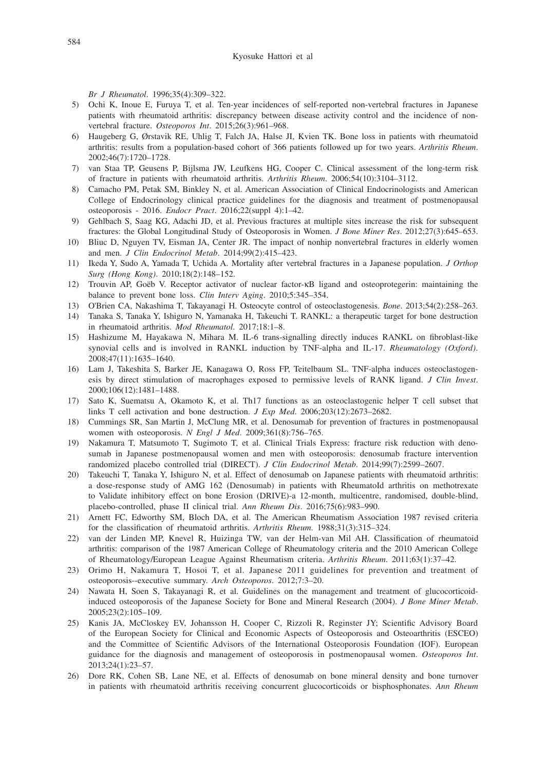*Br J Rheumatol*. 1996;35(4):309–322.

- 5) Ochi K, Inoue E, Furuya T, et al. Ten-year incidences of self-reported non-vertebral fractures in Japanese patients with rheumatoid arthritis: discrepancy between disease activity control and the incidence of nonvertebral fracture. *Osteoporos Int*. 2015;26(3):961–968.
- 6) Haugeberg G, Ørstavik RE, Uhlig T, Falch JA, Halse JI, Kvien TK. Bone loss in patients with rheumatoid arthritis: results from a population-based cohort of 366 patients followed up for two years. *Arthritis Rheum*. 2002;46(7):1720–1728.
- 7) van Staa TP, Geusens P, Bijlsma JW, Leufkens HG, Cooper C. Clinical assessment of the long-term risk of fracture in patients with rheumatoid arthritis. *Arthritis Rheum*. 2006;54(10):3104–3112.
- 8) Camacho PM, Petak SM, Binkley N, et al. American Association of Clinical Endocrinologists and American College of Endocrinology clinical practice guidelines for the diagnosis and treatment of postmenopausal osteoporosis - 2016. *Endocr Pract*. 2016;22(suppl 4):1–42.
- 9) Gehlbach S, Saag KG, Adachi JD, et al. Previous fractures at multiple sites increase the risk for subsequent fractures: the Global Longitudinal Study of Osteoporosis in Women. *J Bone Miner Res*. 2012;27(3):645–653.
- 10) Bliuc D, Nguyen TV, Eisman JA, Center JR. The impact of nonhip nonvertebral fractures in elderly women and men. *J Clin Endocrinol Metab*. 2014;99(2):415–423.
- 11) Ikeda Y, Sudo A, Yamada T, Uchida A. Mortality after vertebral fractures in a Japanese population. *J Orthop Surg (Hong Kong)*. 2010;18(2):148–152.
- 12) Trouvin AP, Goëb V. Receptor activator of nuclear factor-κB ligand and osteoprotegerin: maintaining the balance to prevent bone loss. *Clin Interv Aging*. 2010;5:345–354.
- 13) O'Brien CA, Nakashima T, Takayanagi H. Osteocyte control of osteoclastogenesis. *Bone*. 2013;54(2):258–263.
- 14) Tanaka S, Tanaka Y, Ishiguro N, Yamanaka H, Takeuchi T. RANKL: a therapeutic target for bone destruction in rheumatoid arthritis. *Mod Rheumatol*. 2017;18:1–8.
- 15) Hashizume M, Hayakawa N, Mihara M. IL-6 trans-signalling directly induces RANKL on fibroblast-like synovial cells and is involved in RANKL induction by TNF-alpha and IL-17. *Rheumatology (Oxford)*. 2008;47(11):1635–1640.
- 16) Lam J, Takeshita S, Barker JE, Kanagawa O, Ross FP, Teitelbaum SL. TNF-alpha induces osteoclastogenesis by direct stimulation of macrophages exposed to permissive levels of RANK ligand. *J Clin Invest*. 2000;106(12):1481–1488.
- 17) Sato K, Suematsu A, Okamoto K, et al. Th17 functions as an osteoclastogenic helper T cell subset that links T cell activation and bone destruction. *J Exp Med*. 2006;203(12):2673–2682.
- 18) Cummings SR, San Martin J, McClung MR, et al. Denosumab for prevention of fractures in postmenopausal women with osteoporosis. *N Engl J Med*. 2009;361(8):756–765.
- 19) Nakamura T, Matsumoto T, Sugimoto T, et al. Clinical Trials Express: fracture risk reduction with denosumab in Japanese postmenopausal women and men with osteoporosis: denosumab fracture intervention randomized placebo controlled trial (DIRECT). *J Clin Endocrinol Metab*. 2014;99(7):2599–2607.
- 20) Takeuchi T, Tanaka Y, Ishiguro N, et al. Effect of denosumab on Japanese patients with rheumatoid arthritis: a dose-response study of AMG 162 (Denosumab) in patients with RheumatoId arthritis on methotrexate to Validate inhibitory effect on bone Erosion (DRIVE)-a 12-month, multicentre, randomised, double-blind, placebo-controlled, phase II clinical trial. *Ann Rheum Dis*. 2016;75(6):983–990.
- 21) Arnett FC, Edworthy SM, Bloch DA, et al. The American Rheumatism Association 1987 revised criteria for the classification of rheumatoid arthritis. *Arthritis Rheum*. 1988;31(3):315–324.
- 22) van der Linden MP, Knevel R, Huizinga TW, van der Helm-van Mil AH. Classification of rheumatoid arthritis: comparison of the 1987 American College of Rheumatology criteria and the 2010 American College of Rheumatology/European League Against Rheumatism criteria. *Arthritis Rheum*. 2011;63(1):37–42.
- 23) Orimo H, Nakamura T, Hosoi T, et al. Japanese 2011 guidelines for prevention and treatment of osteoporosis--executive summary. *Arch Osteoporos*. 2012;7:3–20.
- 24) Nawata H, Soen S, Takayanagi R, et al. Guidelines on the management and treatment of glucocorticoidinduced osteoporosis of the Japanese Society for Bone and Mineral Research (2004). *J Bone Miner Metab*. 2005;23(2):105–109.
- 25) Kanis JA, McCloskey EV, Johansson H, Cooper C, Rizzoli R, Reginster JY; Scientific Advisory Board of the European Society for Clinical and Economic Aspects of Osteoporosis and Osteoarthritis (ESCEO) and the Committee of Scientific Advisors of the International Osteoporosis Foundation (IOF). European guidance for the diagnosis and management of osteoporosis in postmenopausal women. *Osteoporos Int*. 2013;24(1):23–57.
- 26) Dore RK, Cohen SB, Lane NE, et al. Effects of denosumab on bone mineral density and bone turnover in patients with rheumatoid arthritis receiving concurrent glucocorticoids or bisphosphonates. *Ann Rheum*